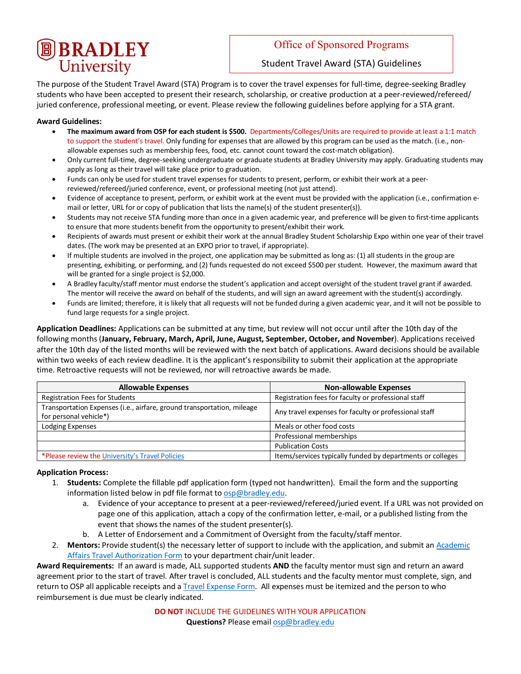# **B** BRADLEY

### Office of Sponsored Programs

Student Travel Award (STA) Guidelines

The purpose of the Student Travel Award (STA) Program is to cover the travel expenses for full-time, degree-seeking Bradley students who have been accepted to present their research, scholarship, or creative production at a peer-reviewed/refereed/ juried conference, professional meeting, or event. Please review the following guidelines before applying for a STA grant.

#### **Award Guidelines:**

- **The maximum award from OSP for each student is \$500.** Departments/Colleges/Units are required to provide at least a 1:1 match to support the student's travel. Only funding for expenses that are allowed by this program can be used as the match. (i.e., nonallowable expenses such as membership fees, food, etc. cannot count toward the cost-match obligation).
- Only current full-time, degree-seeking undergraduate or graduate students at Bradley University may apply. Graduating students may apply as long as their travel will take place prior to graduation.
- Funds can only be used for student travel expenses for students to present, perform, or exhibit their work at a peerreviewed/refereed/juried conference, event, or professional meeting (not just attend).
- Evidence of acceptance to present, perform, or exhibit work at the event must be provided with the application (i.e., confirmation email or letter, URL for or copy of publication that lists the name(s) of the student presenter(s)).
- Students may not receive STA funding more than once in a given academic year, and preference will be given to first-time applicants to ensure that more students benefit from the opportunity to present/exhibit their work.
- Recipients of awards must present or exhibit their work at the annual Bradley Student Scholarship Expo within one year of their travel dates. (The work may be presented at an EXPO prior to travel, if appropriate).
- If multiple students are involved in the project, one application may be submitted as long as: (1) all students in the group are presenting, exhibiting, or performing, and (2) funds requested do not exceed \$500 per student. However, the maximum award that will be granted for a single project is \$2,000.
- A Bradley faculty/staff mentor must endorse the student's application and accept oversight of the student travel grant if awarded. The mentor will receive the award on behalf of the students, and will sign an award agreement with the student(s) accordingly.
- Funds are limited; therefore, it is likely that all requests will not be funded during a given academic year, and it will not be possible to fund large requests for a single project.

**Application Deadlines:** Applications can be submitted at any time, but review will not occur until after the 10th day of the following months (**January, February, March, April, June, August, September, October, and November**). Applications received after the 10th day of the listed months will be reviewed with the next batch of applications. Award decisions should be available within two weeks of each review deadline. It is the applicant's responsibility to submit their application at the appropriate time. Retroactive requests will not be reviewed, nor will retroactive awards be made.

| <b>Allowable Expenses</b>                                                                        | <b>Non-allowable Expenses</b>                              |
|--------------------------------------------------------------------------------------------------|------------------------------------------------------------|
| <b>Registration Fees for Students</b>                                                            | Registration fees for faculty or professional staff        |
| Transportation Expenses (i.e., airfare, ground transportation, mileage<br>for personal vehicle*) | Any travel expenses for faculty or professional staff      |
| Lodging Expenses                                                                                 | Meals or other food costs                                  |
|                                                                                                  | Professional memberships                                   |
|                                                                                                  | <b>Publication Costs</b>                                   |
| *Please review the University's Travel Policies                                                  | Items/services typically funded by departments or colleges |

#### **Application Process:**

- 1. **Students:** Complete the fillable pdf application form (typed not handwritten). Email the form and the supporting information listed below in pdf file format to osp@bradley.edu.
	- a. Evidence of your acceptance to present at a peer-reviewed/refereed/juried event. If a URL was not provided on page one of this application, attach a copy of the confirmation letter, e-mail, or a published listing from the event that shows the names of the student presenter(s).
	- b. A Letter of Endorsement and a Commitment of Oversight from the faculty/staff mentor.
- 2. Mentors: Provide student(s) the necessary letter of support to include with the application, and submit an Academic Affairs Travel Authorization Form to your department chair/unit leader.

**Award Requirements:** If an award is made, ALL supported students **AND** the faculty mentor must sign and return an award agreement prior to the start of travel. After travel is concluded, ALL students and the faculty mentor must complete, sign, and return to OSP all applicable receipts and a Travel Expense Form. All expenses must be itemized and the person to who reimbursement is due must be clearly indicated.

> **DO NOT** INCLUDE THE GUIDELINES WITH YOUR APPLICATION **Questions?** Please email osp@bradley.edu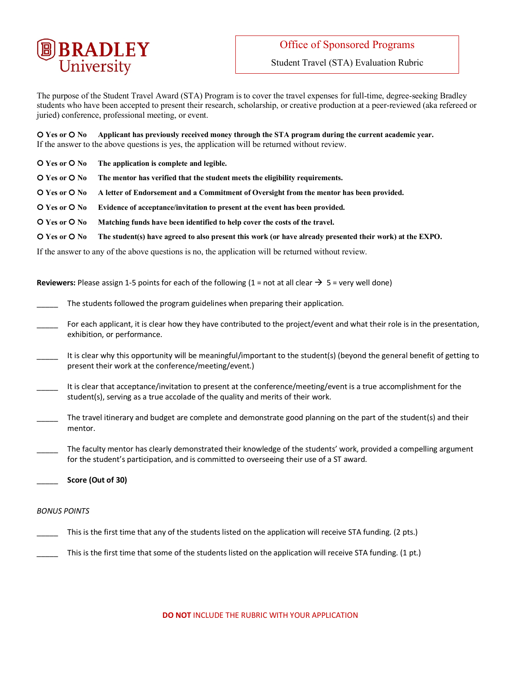

Student Travel (STA) Evaluation Rubric

The purpose of the Student Travel Award (STA) Program is to cover the travel expenses for full-time, degree-seeking Bradley students who have been accepted to present their research, scholarship, or creative production at a peer-reviewed (aka refereed or juried) conference, professional meeting, or event.

¡ **Yes or** ¡ **No Applicant has previously received money through the STA program during the current academic year.** If the answer to the above questions is yes, the application will be returned without review.

- **O** Yes or **O** No The application is complete and legible.
- **Q** Yes or **Q** No The mentor has verified that the student meets the eligibility requirements.
- ¡ **Yes or** ¡ **No A letter of Endorsement and a Commitment of Oversight from the mentor has been provided.**
- ¡ **Yes or** ¡ **No Evidence of acceptance/invitation to present at the event has been provided.**
- $\overline{O}$  **Yes or**  $\overline{O}$  **No** Matching funds have been identified to help cover the costs of the travel.
- ¡ **Yes or** ¡ **No The student(s) have agreed to also present this work (or have already presented their work) at the EXPO.**

If the answer to any of the above questions is no, the application will be returned without review.

**Reviewers:** Please assign 1-5 points for each of the following  $(1 = not at all clear  $\rightarrow$  5 = very well done)$ 

The students followed the program guidelines when preparing their application.

- For each applicant, it is clear how they have contributed to the project/event and what their role is in the presentation, exhibition, or performance.
- It is clear why this opportunity will be meaningful/important to the student(s) (beyond the general benefit of getting to present their work at the conference/meeting/event.)
- It is clear that acceptance/invitation to present at the conference/meeting/event is a true accomplishment for the student(s), serving as a true accolade of the quality and merits of their work.
- The travel itinerary and budget are complete and demonstrate good planning on the part of the student(s) and their mentor.

The faculty mentor has clearly demonstrated their knowledge of the students' work, provided a compelling argument for the student's participation, and is committed to overseeing their use of a ST award.

\_\_\_\_\_ **Score (Out of 30)**

#### *BONUS POINTS*

- This is the first time that any of the students listed on the application will receive STA funding. (2 pts.)
	- This is the first time that some of the students listed on the application will receive STA funding. (1 pt.)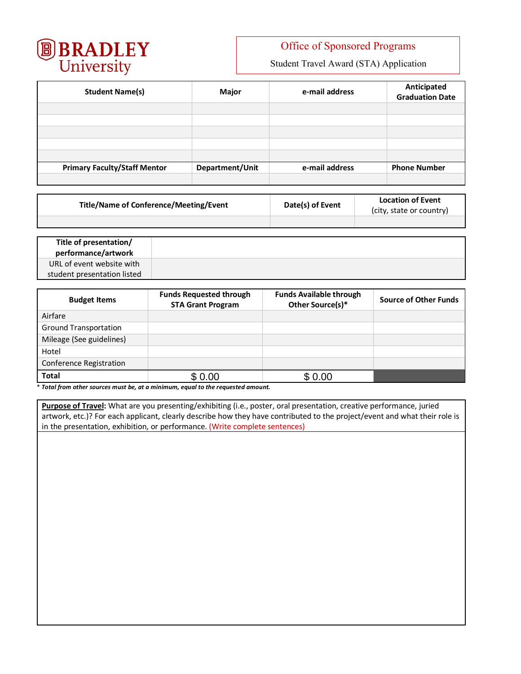

## Office of Sponsored Programs

Student Travel Award (STA) Application

| <b>Student Name(s)</b>              | Major           | e-mail address | Anticipated<br><b>Graduation Date</b> |
|-------------------------------------|-----------------|----------------|---------------------------------------|
|                                     |                 |                |                                       |
|                                     |                 |                |                                       |
|                                     |                 |                |                                       |
|                                     |                 |                |                                       |
|                                     |                 |                |                                       |
| <b>Primary Faculty/Staff Mentor</b> | Department/Unit | e-mail address | <b>Phone Number</b>                   |
|                                     |                 |                |                                       |

| <b>Title/Name of Conference/Meeting/Event</b> | Date(s) of Event | <b>Location of Event</b><br>(city, state or country) |
|-----------------------------------------------|------------------|------------------------------------------------------|
|                                               |                  |                                                      |

| Title of presentation/<br>performance/artwork |  |
|-----------------------------------------------|--|
| URL of event website with                     |  |
| student presentation listed                   |  |

| <b>Budget Items</b>          | <b>Funds Requested through</b><br><b>STA Grant Program</b> | <b>Funds Available through</b><br>Other Source(s)* | <b>Source of Other Funds</b> |
|------------------------------|------------------------------------------------------------|----------------------------------------------------|------------------------------|
| Airfare                      |                                                            |                                                    |                              |
| <b>Ground Transportation</b> |                                                            |                                                    |                              |
| Mileage (See guidelines)     |                                                            |                                                    |                              |
| Hotel                        |                                                            |                                                    |                              |
| Conference Registration      |                                                            |                                                    |                              |
| <b>Total</b>                 | \$0.00                                                     | \$0.00                                             |                              |

\* *Total from other sources must be, at a minimum, equal to the requested amount.*

**Purpose of Travel:** What are you presenting/exhibiting (i.e., poster, oral presentation, creative performance, juried artwork, etc.)? For each applicant, clearly describe how they have contributed to the project/event and what their role is in the presentation, exhibition, or performance. (Write complete sentences)